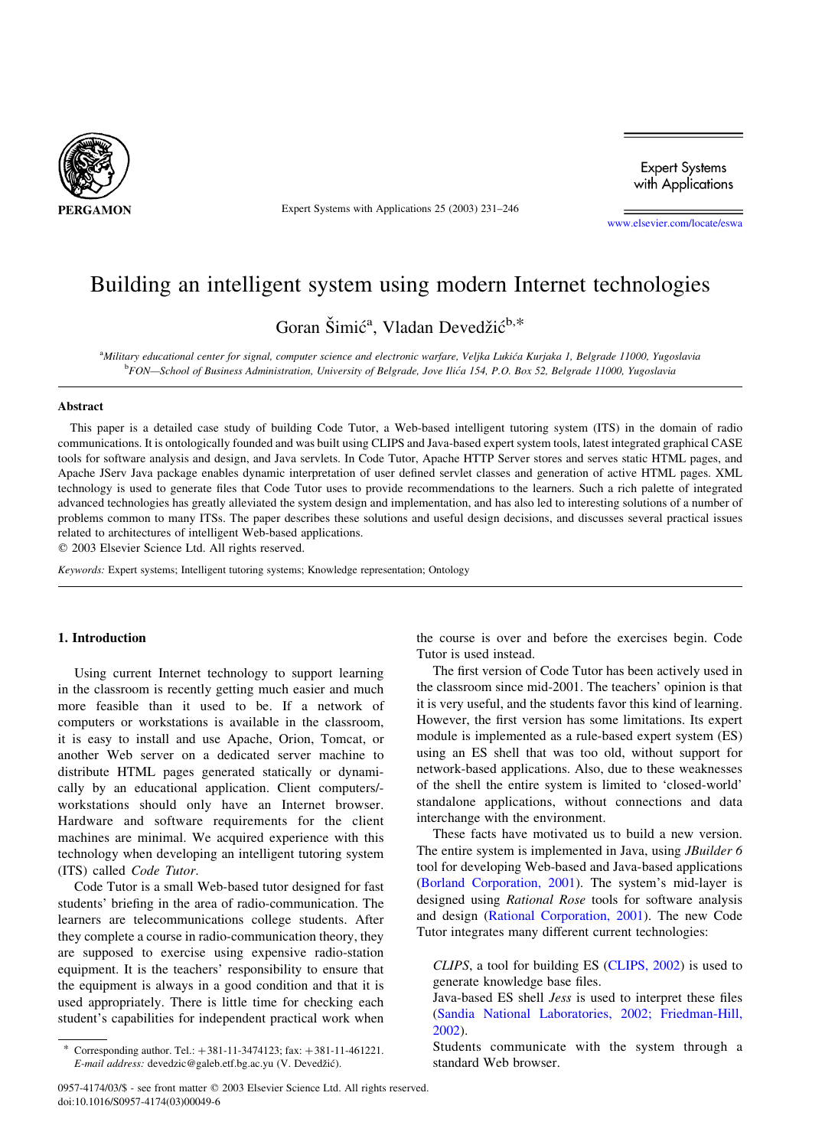

Expert Systems with Applications 25 (2003) 231–246

**Expert Systems** with Applications

[www.elsevier.com/locate/eswa](http://www.elsevier.com/locate/eswa)

## Building an intelligent system using modern Internet technologies

Goran Šimić<sup>a</sup>, Vladan Devedžić<sup>b,\*</sup>

a<br>Military educational center for signal, computer science and electronic warfare, Veljka Lukića Kurjaka 1, Belgrade 11000, Yugoslavia **bFON—School of Business Administration, University of Belgrade, Jove Ilića 154, P.O. Box 52, Belgrade 11000, Yugoslavia** 

### Abstract

This paper is a detailed case study of building Code Tutor, a Web-based intelligent tutoring system (ITS) in the domain of radio communications. It is ontologically founded and was built using CLIPS and Java-based expert system tools, latest integrated graphical CASE tools for software analysis and design, and Java servlets. In Code Tutor, Apache HTTP Server stores and serves static HTML pages, and Apache JServ Java package enables dynamic interpretation of user defined servlet classes and generation of active HTML pages. XML technology is used to generate files that Code Tutor uses to provide recommendations to the learners. Such a rich palette of integrated advanced technologies has greatly alleviated the system design and implementation, and has also led to interesting solutions of a number of problems common to many ITSs. The paper describes these solutions and useful design decisions, and discusses several practical issues related to architectures of intelligent Web-based applications.

 $©$  2003 Elsevier Science Ltd. All rights reserved.

Keywords: Expert systems; Intelligent tutoring systems; Knowledge representation; Ontology

#### 1. Introduction

Using current Internet technology to support learning in the classroom is recently getting much easier and much more feasible than it used to be. If a network of computers or workstations is available in the classroom, it is easy to install and use Apache, Orion, Tomcat, or another Web server on a dedicated server machine to distribute HTML pages generated statically or dynamically by an educational application. Client computers/ workstations should only have an Internet browser. Hardware and software requirements for the client machines are minimal. We acquired experience with this technology when developing an intelligent tutoring system (ITS) called Code Tutor.

Code Tutor is a small Web-based tutor designed for fast students' briefing in the area of radio-communication. The learners are telecommunications college students. After they complete a course in radio-communication theory, they are supposed to exercise using expensive radio-station equipment. It is the teachers' responsibility to ensure that the equipment is always in a good condition and that it is used appropriately. There is little time for checking each student's capabilities for independent practical work when the course is over and before the exercises begin. Code Tutor is used instead.

The first version of Code Tutor has been actively used in the classroom since mid-2001. The teachers' opinion is that it is very useful, and the students favor this kind of learning. However, the first version has some limitations. Its expert module is implemented as a rule-based expert system (ES) using an ES shell that was too old, without support for network-based applications. Also, due to these weaknesses of the shell the entire system is limited to 'closed-world' standalone applications, without connections and data interchange with the environment.

These facts have motivated us to build a new version. The entire system is implemented in Java, using *JBuilder 6* tool for developing Web-based and Java-based applications ([Borland Corporation, 2001](#page--1-0)). The system's mid-layer is designed using Rational Rose tools for software analysis and design [\(Rational Corporation, 2001](#page--1-0)). The new Code Tutor integrates many different current technologies:

CLIPS, a tool for building ES [\(CLIPS, 2002\)](#page--1-0) is used to generate knowledge base files.

Java-based ES shell Jess is used to interpret these files ([Sandia National Laboratories, 2002; Friedman-Hill,](#page--1-0) [2002](#page--1-0)).

Students communicate with the system through a standard Web browser.

Corresponding author. Tel.:  $+ 381 - 11 - 3474123$ ; fax:  $+ 381 - 11 - 461221$ . E-mail address: devedzic@galeb.etf.bg.ac.yu (V. Devedžić).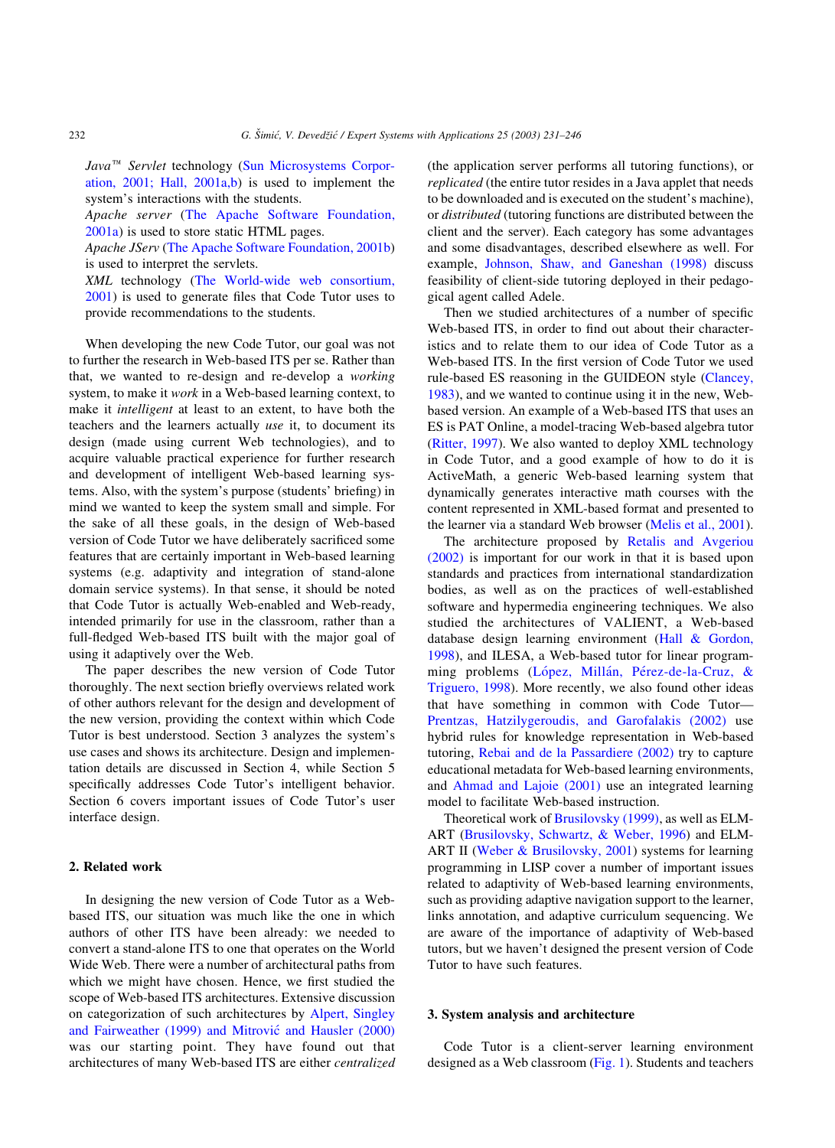$Java^{\pi M}$  Servlet technology [\(Sun Microsystems Corpor](#page--1-0)[ation, 2001; Hall, 2001a,b](#page--1-0)) is used to implement the system's interactions with the students.

Apache server ([The Apache Software Foundation,](#page--1-0) [2001a](#page--1-0)) is used to store static HTML pages.

Apache JServ ([The Apache Software Foundation, 2001b](#page--1-0)) is used to interpret the servlets.

XML technology ([The World-wide web consortium,](#page--1-0) [2001\)](#page--1-0) is used to generate files that Code Tutor uses to provide recommendations to the students.

When developing the new Code Tutor, our goal was not to further the research in Web-based ITS per se. Rather than that, we wanted to re-design and re-develop a working system, to make it work in a Web-based learning context, to make it intelligent at least to an extent, to have both the teachers and the learners actually use it, to document its design (made using current Web technologies), and to acquire valuable practical experience for further research and development of intelligent Web-based learning systems. Also, with the system's purpose (students' briefing) in mind we wanted to keep the system small and simple. For the sake of all these goals, in the design of Web-based version of Code Tutor we have deliberately sacrificed some features that are certainly important in Web-based learning systems (e.g. adaptivity and integration of stand-alone domain service systems). In that sense, it should be noted that Code Tutor is actually Web-enabled and Web-ready, intended primarily for use in the classroom, rather than a full-fledged Web-based ITS built with the major goal of using it adaptively over the Web.

The paper describes the new version of Code Tutor thoroughly. The next section briefly overviews related work of other authors relevant for the design and development of the new version, providing the context within which Code Tutor is best understood. Section 3 analyzes the system's use cases and shows its architecture. Design and implementation details are discussed in Section 4, while Section 5 specifically addresses Code Tutor's intelligent behavior. Section 6 covers important issues of Code Tutor's user interface design.

#### 2. Related work

In designing the new version of Code Tutor as a Webbased ITS, our situation was much like the one in which authors of other ITS have been already: we needed to convert a stand-alone ITS to one that operates on the World Wide Web. There were a number of architectural paths from which we might have chosen. Hence, we first studied the scope of Web-based ITS architectures. Extensive discussion on categorization of such architectures by [Alpert, Singley](#page--1-0) and Fairweather (1999) and Mitrović and Hausler (2000) was our starting point. They have found out that architectures of many Web-based ITS are either centralized (the application server performs all tutoring functions), or replicated (the entire tutor resides in a Java applet that needs to be downloaded and is executed on the student's machine), or distributed (tutoring functions are distributed between the client and the server). Each category has some advantages and some disadvantages, described elsewhere as well. For example, [Johnson, Shaw, and Ganeshan \(1998\)](#page--1-0) discuss feasibility of client-side tutoring deployed in their pedagogical agent called Adele.

Then we studied architectures of a number of specific Web-based ITS, in order to find out about their characteristics and to relate them to our idea of Code Tutor as a Web-based ITS. In the first version of Code Tutor we used rule-based ES reasoning in the GUIDEON style [\(Clancey,](#page--1-0) [1983\)](#page--1-0), and we wanted to continue using it in the new, Webbased version. An example of a Web-based ITS that uses an ES is PAT Online, a model-tracing Web-based algebra tutor ([Ritter, 1997](#page--1-0)). We also wanted to deploy XML technology in Code Tutor, and a good example of how to do it is ActiveMath, a generic Web-based learning system that dynamically generates interactive math courses with the content represented in XML-based format and presented to the learner via a standard Web browser ([Melis et al., 2001\)](#page--1-0).

The architecture proposed by [Retalis and Avgeriou](#page--1-0) [\(2002\)](#page--1-0) is important for our work in that it is based upon standards and practices from international standardization bodies, as well as on the practices of well-established software and hypermedia engineering techniques. We also studied the architectures of VALIENT, a Web-based database design learning environment ([Hall & Gordon,](#page--1-0) [1998\)](#page--1-0), and ILESA, a Web-based tutor for linear programming problems (López, Millán, Pérez-de-la-Cruz, & [Triguero, 1998\)](#page--1-0). More recently, we also found other ideas that have something in common with Code Tutor— [Prentzas, Hatzilygeroudis, and Garofalakis \(2002\)](#page--1-0) use hybrid rules for knowledge representation in Web-based tutoring, [Rebai and de la Passardiere \(2002\)](#page--1-0) try to capture educational metadata for Web-based learning environments, and [Ahmad and Lajoie \(2001\)](#page--1-0) use an integrated learning model to facilitate Web-based instruction.

Theoretical work of [Brusilovsky \(1999\)](#page--1-0), as well as ELM-ART ([Brusilovsky, Schwartz, & Weber, 1996](#page--1-0)) and ELM-ART II ([Weber & Brusilovsky, 2001](#page--1-0)) systems for learning programming in LISP cover a number of important issues related to adaptivity of Web-based learning environments, such as providing adaptive navigation support to the learner, links annotation, and adaptive curriculum sequencing. We are aware of the importance of adaptivity of Web-based tutors, but we haven't designed the present version of Code Tutor to have such features.

#### 3. System analysis and architecture

Code Tutor is a client-server learning environment designed as a Web classroom ([Fig. 1\)](#page--1-0). Students and teachers